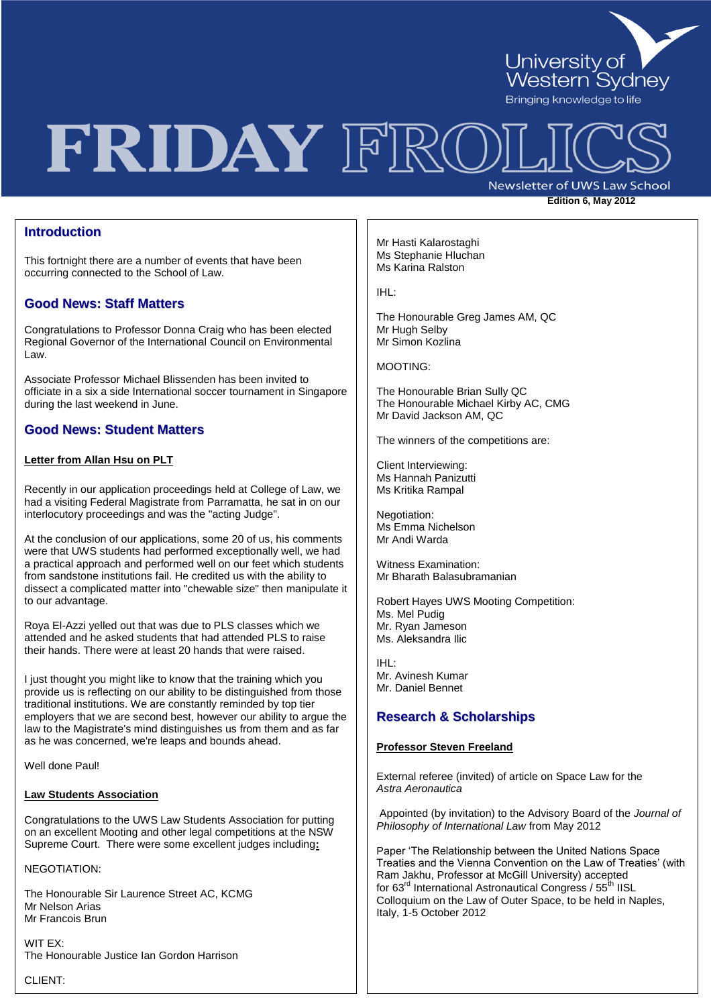

# FRIDAY FRC

Newsletter of UWS Law School

**Edition 6, May 2012** 

### **Introduction**

This fortnight there are a number of events that have been occurring connected to the School of Law.

### **Good News: Staff Matters**

Congratulations to Professor Donna Craig who has been elected Regional Governor of the International Council on Environmental Law.

Associate Professor Michael Blissenden has been invited to officiate in a six a side International soccer tournament in Singapore during the last weekend in June.

## **Good News: Student Matters**

### **Letter from Allan Hsu on PLT**

Recently in our application proceedings held at College of Law, we had a visiting Federal Magistrate from Parramatta, he sat in on our interlocutory proceedings and was the "acting Judge".

At the conclusion of our applications, some 20 of us, his comments were that UWS students had performed exceptionally well, we had a practical approach and performed well on our feet which students from sandstone institutions fail. He credited us with the ability to dissect a complicated matter into "chewable size" then manipulate it to our advantage.

Roya El-Azzi yelled out that was due to PLS classes which we attended and he asked students that had attended PLS to raise their hands. There were at least 20 hands that were raised.

I just thought you might like to know that the training which you provide us is reflecting on our ability to be distinguished from those traditional institutions. We are constantly reminded by top tier employers that we are second best, however our ability to argue the law to the Magistrate's mind distinguishes us from them and as far as he was concerned, we're leaps and bounds ahead.

Well done Paul!

#### **Law Students Association**

Congratulations to the UWS Law Students Association for putting on an excellent Mooting and other legal competitions at the NSW Supreme Court. There were some excellent judges including**:**

NEGOTIATION:

The Honourable Sir Laurence Street AC, KCMG Mr Nelson Arias Mr Francois Brun

WIT EX: The Honourable Justice Ian Gordon Harrison

CLIENT:

Mr Hasti Kalarostaghi Ms Stephanie Hluchan Ms Karina Ralston

IHL:

The Honourable Greg James AM, QC Mr Hugh Selby Mr Simon Kozlina

MOOTING:

The Honourable Brian Sully QC The Honourable Michael Kirby AC, CMG Mr David Jackson AM, QC

The winners of the competitions are:

Client Interviewing: Ms Hannah Panizutti Ms Kritika Rampal

Negotiation: Ms Emma Nichelson Mr Andi Warda

Witness Examination: Mr Bharath Balasubramanian

Robert Hayes UWS Mooting Competition: Ms. Mel Pudig Mr. Ryan Jameson Ms. Aleksandra Ilic

IHL: Mr. Avinesh Kumar Mr. Daniel Bennet

## **Research & Scholarships**

### **Professor Steven Freeland**

External referee (invited) of article on Space Law for the *Astra Aeronautica* 

Appointed (by invitation) to the Advisory Board of the *Journal of Philosophy of International Law* from May 2012

Paper "The Relationship between the United Nations Space Treaties and the Vienna Convention on the Law of Treaties" (with Ram Jakhu, Professor at McGill University) accepted for 63<sup>rd</sup> International Astronautical Congress / 55<sup>th</sup> IISL Colloquium on the Law of Outer Space, to be held in Naples, Italy, 1-5 October 2012